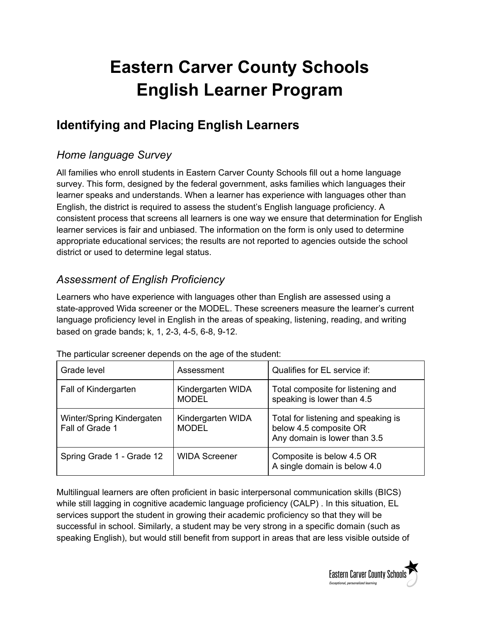# **Eastern Carver County Schools English Learner Program**

# **Identifying and Placing English Learners**

# *Home language Survey*

All families who enroll students in Eastern Carver County Schools fill out a home language survey. This form, designed by the federal government, asks families which languages their learner speaks and understands. When a learner has experience with languages other than English, the district is required to assess the student's English language proficiency. A consistent process that screens all learners is one way we ensure that determination for English learner services is fair and unbiased. The information on the form is only used to determine appropriate educational services; the results are not reported to agencies outside the school district or used to determine legal status.

# *Assessment of English Proficiency*

Learners who have experience with languages other than English are assessed using a state-approved Wida screener or the MODEL. These screeners measure the learner's current language proficiency level in English in the areas of speaking, listening, reading, and writing based on grade bands; k, 1, 2-3, 4-5, 6-8, 9-12.

| Grade level                                  | Assessment                        | Qualifies for EL service if:                                                                  |
|----------------------------------------------|-----------------------------------|-----------------------------------------------------------------------------------------------|
| Fall of Kindergarten                         | Kindergarten WIDA<br><b>MODEL</b> | Total composite for listening and<br>speaking is lower than 4.5                               |
| Winter/Spring Kindergaten<br>Fall of Grade 1 | Kindergarten WIDA<br><b>MODEL</b> | Total for listening and speaking is<br>below 4.5 composite OR<br>Any domain is lower than 3.5 |
| Spring Grade 1 - Grade 12                    | <b>WIDA Screener</b>              | Composite is below 4.5 OR<br>A single domain is below 4.0                                     |

The particular screener depends on the age of the student:

Multilingual learners are often proficient in basic interpersonal communication skills (BICS) while still lagging in cognitive academic language proficiency (CALP) . In this situation, EL services support the student in growing their academic proficiency so that they will be successful in school. Similarly, a student may be very strong in a specific domain (such as speaking English), but would still benefit from support in areas that are less visible outside of

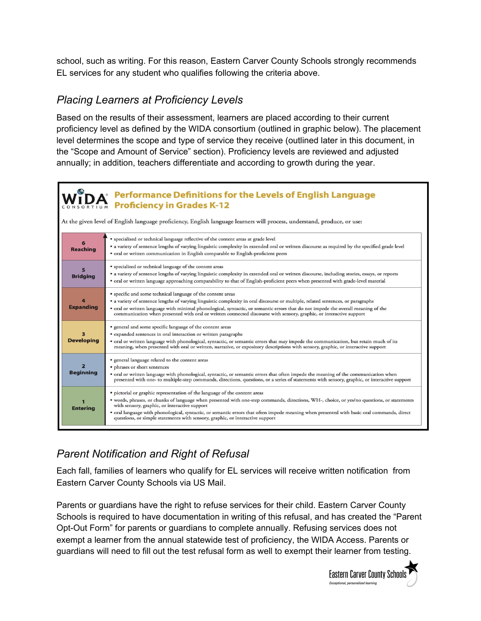school, such as writing. For this reason, Eastern Carver County Schools strongly recommends EL services for any student who qualifies following the criteria above.

### *Placing Learners at Proficiency Levels*

Based on the results of their assessment, learners are placed according to their current proficiency level as defined by the WIDA consortium (outlined in graphic below). The placement level determines the scope and type of service they receive (outlined later in this document, in the "Scope and Amount of Service" section). Proficiency levels are reviewed and adjusted annually; in addition, teachers differentiate and according to growth during the year.

#### **Performance Definitions for the Levels of English Language Proficiency in Grades K-12**

At the given level of English language proficiency, English language learners will process, understand, produce, or use:

| <b>Reaching</b>       | · specialized or technical language reflective of the content areas at grade level<br>• a variety of sentence lengths of varying linguistic complexity in extended oral or written discourse as required by the specified grade level<br>• oral or written communication in English comparable to English-proficient peers                                                                                                                                                                               |
|-----------------------|----------------------------------------------------------------------------------------------------------------------------------------------------------------------------------------------------------------------------------------------------------------------------------------------------------------------------------------------------------------------------------------------------------------------------------------------------------------------------------------------------------|
| <b>Bridging</b>       | • specialized or technical language of the content areas<br>• a variety of sentence lengths of varying linguistic complexity in extended oral or written discourse, including stories, essays, or reports<br>• oral or written language approaching comparability to that of English-proficient peers when presented with grade-level material                                                                                                                                                           |
| <b>Expanding</b>      | • specific and some technical language of the content areas<br>• a variety of sentence lengths of varying linguistic complexity in oral discourse or multiple, related sentences, or paragraphs<br>• oral or written language with minimal phonological, syntactic, or semantic errors that do not impede the overall meaning of the<br>communication when presented with oral or written connected discourse with sensory, graphic, or interactive support                                              |
| <b>Developing</b>     | • general and some specific language of the content areas<br>• expanded sentences in oral interaction or written paragraphs<br>• oral or written language with phonological, syntactic, or semantic errors that may impede the communication, but retain much of its<br>meaning, when presented with oral or written, narrative, or expository descriptions with sensory, graphic, or interactive support                                                                                                |
| っ<br><b>Beginning</b> | • general language related to the content areas<br>· phrases or short sentences<br>• oral or written language with phonological, syntactic, or semantic errors that often impede the meaning of the communication when<br>presented with one- to multiple-step commands, directions, questions, or a series of statements with sensory, graphic, or interactive support                                                                                                                                  |
| <b>Entering</b>       | • pictorial or graphic representation of the language of the content areas<br>• words, phrases, or chunks of language when presented with one-step commands, directions, WH-, choice, or yes/no questions, or statements<br>with sensory, graphic, or interactive support<br>· oral language with phonological, syntactic, or semantic errors that often impede meaning when presented with basic oral commands, direct<br>questions, or simple statements with sensory, graphic, or interactive support |

# *Parent Notification and Right of Refusal*

Each fall, families of learners who qualify for EL services will receive written notification from Eastern Carver County Schools via US Mail.

Parents or guardians have the right to refuse services for their child. Eastern Carver County Schools is required to have documentation in writing of this refusal, and has created the "Parent Opt-Out Form" for parents or guardians to complete annually. Refusing services does not exempt a learner from the annual statewide test of proficiency, the WIDA Access. Parents or guardians will need to fill out the test refusal form as well to exempt their learner from testing.

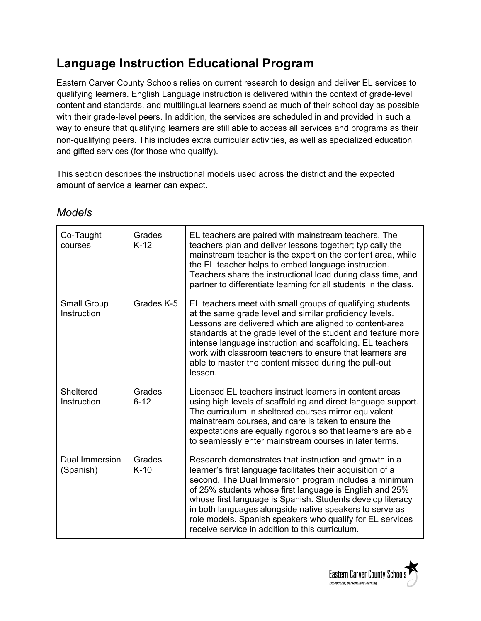# **Language Instruction Educational Program**

Eastern Carver County Schools relies on current research to design and deliver EL services to qualifying learners. English Language instruction is delivered within the context of grade-level content and standards, and multilingual learners spend as much of their school day as possible with their grade-level peers. In addition, the services are scheduled in and provided in such a way to ensure that qualifying learners are still able to access all services and programs as their non-qualifying peers. This includes extra curricular activities, as well as specialized education and gifted services (for those who qualify).

This section describes the instructional models used across the district and the expected amount of service a learner can expect.

| Co-Taught<br>courses              | Grades<br>$K-12$   | EL teachers are paired with mainstream teachers. The<br>teachers plan and deliver lessons together; typically the<br>mainstream teacher is the expert on the content area, while<br>the EL teacher helps to embed language instruction.<br>Teachers share the instructional load during class time, and<br>partner to differentiate learning for all students in the class.                                                                                                        |
|-----------------------------------|--------------------|------------------------------------------------------------------------------------------------------------------------------------------------------------------------------------------------------------------------------------------------------------------------------------------------------------------------------------------------------------------------------------------------------------------------------------------------------------------------------------|
| <b>Small Group</b><br>Instruction | Grades K-5         | EL teachers meet with small groups of qualifying students<br>at the same grade level and similar proficiency levels.<br>Lessons are delivered which are aligned to content-area<br>standards at the grade level of the student and feature more<br>intense language instruction and scaffolding. EL teachers<br>work with classroom teachers to ensure that learners are<br>able to master the content missed during the pull-out<br>lesson.                                       |
| Sheltered<br>Instruction          | Grades<br>$6 - 12$ | Licensed EL teachers instruct learners in content areas<br>using high levels of scaffolding and direct language support.<br>The curriculum in sheltered courses mirror equivalent<br>mainstream courses, and care is taken to ensure the<br>expectations are equally rigorous so that learners are able<br>to seamlessly enter mainstream courses in later terms.                                                                                                                  |
| Dual Immersion<br>(Spanish)       | Grades<br>$K-10$   | Research demonstrates that instruction and growth in a<br>learner's first language facilitates their acquisition of a<br>second. The Dual Immersion program includes a minimum<br>of 25% students whose first language is English and 25%<br>whose first language is Spanish. Students develop literacy<br>in both languages alongside native speakers to serve as<br>role models. Spanish speakers who qualify for EL services<br>receive service in addition to this curriculum. |

#### *Models*

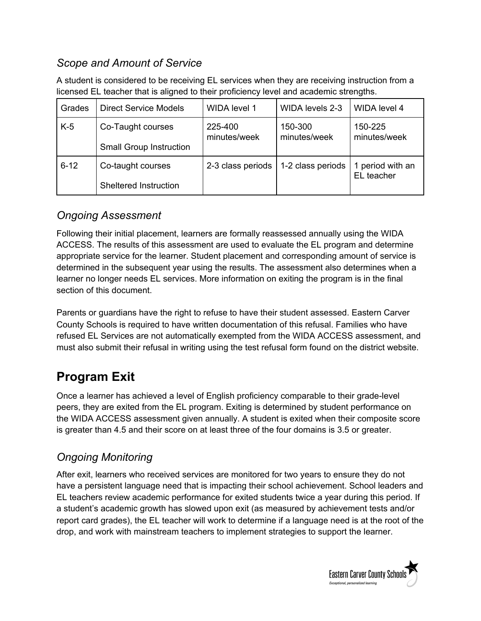# *Scope and Amount of Service*

A student is considered to be receiving EL services when they are receiving instruction from a licensed EL teacher that is aligned to their proficiency level and academic strengths.

| Grades   | <b>Direct Service Models</b>   | WIDA level 1            | WIDA levels 2-3         | <b>WIDA</b> level 4            |
|----------|--------------------------------|-------------------------|-------------------------|--------------------------------|
| $K-5$    | Co-Taught courses              | 225-400<br>minutes/week | 150-300<br>minutes/week | 150-225<br>minutes/week        |
|          | <b>Small Group Instruction</b> |                         |                         |                                |
| $6 - 12$ | Co-taught courses              | 2-3 class periods       | 1-2 class periods       | 1 period with an<br>EL teacher |
|          | Sheltered Instruction          |                         |                         |                                |

#### *Ongoing Assessment*

Following their initial placement, learners are formally reassessed annually using the WIDA ACCESS. The results of this assessment are used to evaluate the EL program and determine appropriate service for the learner. Student placement and corresponding amount of service is determined in the subsequent year using the results. The assessment also determines when a learner no longer needs EL services. More information on exiting the program is in the final section of this document.

Parents or guardians have the right to refuse to have their student assessed. Eastern Carver County Schools is required to have written documentation of this refusal. Families who have refused EL Services are not automatically exempted from the WIDA ACCESS assessment, and must also submit their refusal in writing using the test refusal form found on the district website.

# **Program Exit**

Once a learner has achieved a level of English proficiency comparable to their grade-level peers, they are exited from the EL program. Exiting is determined by student performance on the WIDA ACCESS assessment given annually. A student is exited when their composite score is greater than 4.5 and their score on at least three of the four domains is 3.5 or greater.

# *Ongoing Monitoring*

After exit, learners who received services are monitored for two years to ensure they do not have a persistent language need that is impacting their school achievement. School leaders and EL teachers review academic performance for exited students twice a year during this period. If a student's academic growth has slowed upon exit (as measured by achievement tests and/or report card grades), the EL teacher will work to determine if a language need is at the root of the drop, and work with mainstream teachers to implement strategies to support the learner.